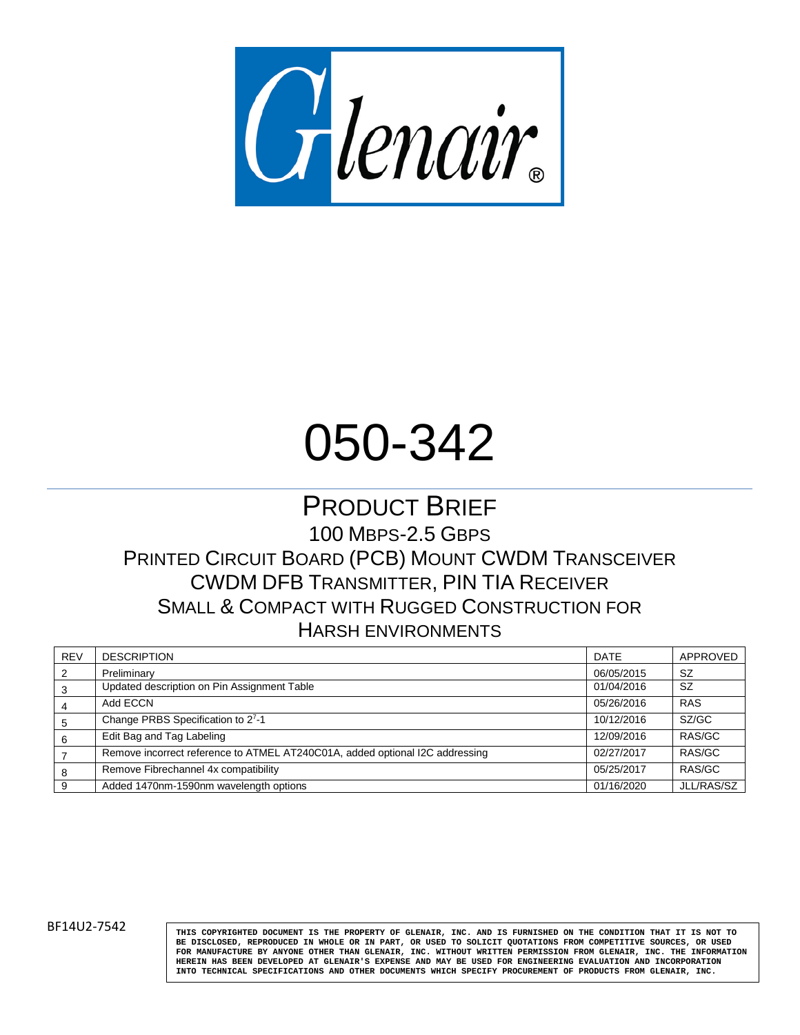

# 050-342

### PRODUCT BRIEF 100 MBPS-2.5 GBPS PRINTED CIRCUIT BOARD (PCB) MOUNT CWDM TRANSCEIVER CWDM DFB TRANSMITTER, PIN TIA RECEIVER SMALL & COMPACT WITH RUGGED CONSTRUCTION FOR HARSH ENVIRONMENTS

| <b>REV</b>     | <b>DESCRIPTION</b>                                                           | <b>DATE</b> | APPROVED      |
|----------------|------------------------------------------------------------------------------|-------------|---------------|
| $\overline{2}$ | Preliminary                                                                  | 06/05/2015  | <sub>SZ</sub> |
| 3              | Updated description on Pin Assignment Table                                  | 01/04/2016  | <b>SZ</b>     |
|                | Add ECCN                                                                     | 05/26/2016  | <b>RAS</b>    |
| 5              | Change PRBS Specification to 27-1                                            | 10/12/2016  | SZ/GC         |
| 6              | Edit Bag and Tag Labeling                                                    | 12/09/2016  | RAS/GC        |
|                | Remove incorrect reference to ATMEL AT240C01A, added optional I2C addressing | 02/27/2017  | RAS/GC        |
| 8              | Remove Fibrechannel 4x compatibility                                         | 05/25/2017  | RAS/GC        |
| -9             | Added 1470nm-1590nm wavelength options                                       | 01/16/2020  | JLL/RAS/SZ    |

BF14U2-7542 **THIS COPYRIGHTED DOCUMENT IS THE PROPERTY OF GLENAIR**, INC. AND IS FURNISHED ON THE CONDITION THAT IT IS NOT TO **BE DISCLOSED, REPRODUCED IN WHOLE OR IN PART, OR USED TO SOLICIT QUOTATIONS FROM COMPETITIVE SOURCES, OR USED FOR MANUFACTURE BY ANYONE OTHER THAN GLENAIR, INC. WITHOUT WRITTEN PERMISSION FROM GLENAIR, INC. THE INFORMATION** HEREIN HAS BEEN DEVELOPED AT GLENAIR'S EXPENSE AND MAY BE USED FOR ENGINEERING EVALUATION AND INCORPORATION<br>INTO TECHNICAL SPECIFICATIONS AND OTHER DOCUMENTS WHICH SPECIFY PRO<mark>CUREMENT OF PRODUCTS FROM GLENAIR, INC.</mark>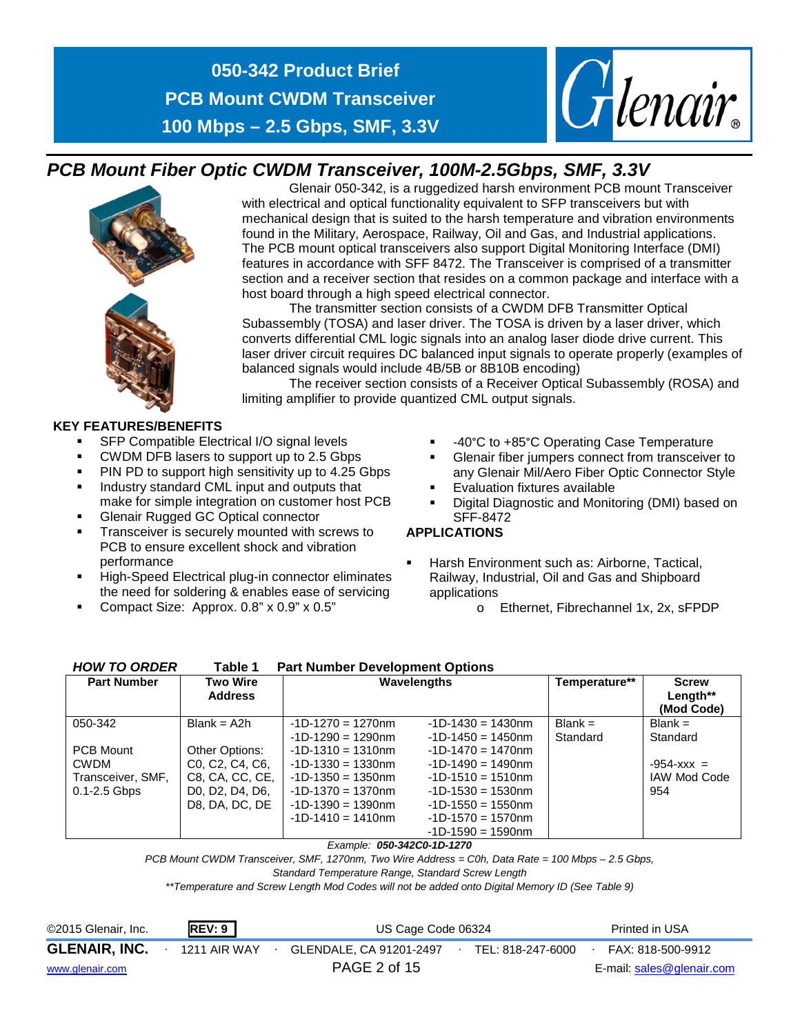

### *PCB Mount Fiber Optic CWDM Transceiver, 100M-2.5Gbps, SMF, 3.3V*

Glenair 050-342, is a ruggedized harsh environment PCB mount Transceiver with electrical and optical functionality equivalent to SFP transceivers but with mechanical design that is suited to the harsh temperature and vibration environments found in the Military, Aerospace, Railway, Oil and Gas, and Industrial applications. The PCB mount optical transceivers also support Digital Monitoring Interface (DMI) features in accordance with SFF 8472. The Transceiver is comprised of a transmitter section and a receiver section that resides on a common package and interface with a host board through a high speed electrical connector.

The transmitter section consists of a CWDM DFB Transmitter Optical Subassembly (TOSA) and laser driver. The TOSA is driven by a laser driver, which converts differential CML logic signals into an analog laser diode drive current. This laser driver circuit requires DC balanced input signals to operate properly (examples of balanced signals would include 4B/5B or 8B10B encoding)

The receiver section consists of a Receiver Optical Subassembly (ROSA) and limiting amplifier to provide quantized CML output signals.

#### **KEY FEATURES/BENEFITS**

- SFP Compatible Electrical I/O signal levels
- **CWDM DFB lasers to support up to 2.5 Gbps**
- **PIN PD to support high sensitivity up to 4.25 Gbps**
- **Industry standard CML input and outputs that** make for simple integration on customer host PCB
- **Glenair Rugged GC Optical connector**
- **Transceiver is securely mounted with screws to** PCB to ensure excellent shock and vibration performance
- High-Speed Electrical plug-in connector eliminates the need for soldering & enables ease of servicing
- Compact Size: Approx. 0.8" x 0.9" x 0.5"
- -40°C to +85°C Operating Case Temperature
- Glenair fiber jumpers connect from transceiver to any Glenair Mil/Aero Fiber Optic Connector Style

*Glenair* 

- Evaluation fixtures available
- Digital Diagnostic and Monitoring (DMI) based on SFF-8472

#### **APPLICATIONS**

- Harsh Environment such as: Airborne, Tactical, Railway, Industrial, Oil and Gas and Shipboard applications
	- o Ethernet, Fibrechannel 1x, 2x, sFPDP

| <b>HOW TO ORDER</b> | <b>Part Number Development Options</b><br>Table 1                   |                      |                      |           |                     |               |                                        |  |  |  |
|---------------------|---------------------------------------------------------------------|----------------------|----------------------|-----------|---------------------|---------------|----------------------------------------|--|--|--|
| <b>Part Number</b>  | Two Wire<br><b>Address</b>                                          | <b>Wavelengths</b>   |                      |           |                     | Temperature** | <b>Screw</b><br>Length**<br>(Mod Code) |  |  |  |
| 050-342             | $Blank = A2h$                                                       | $-1D-1270 = 1270$ nm | $-1D-1430 = 1430$ nm | $Blank =$ | $Blank =$           |               |                                        |  |  |  |
|                     |                                                                     | $-1D-1290 = 1290$ nm | $-1D-1450 = 1450$ nm | Standard  | Standard            |               |                                        |  |  |  |
| <b>PCB Mount</b>    | Other Options:                                                      | $-1D-1310 = 1310nm$  | $-1D-1470 = 1470$ nm |           |                     |               |                                        |  |  |  |
| <b>CWDM</b>         | C <sub>0</sub> . C <sub>2</sub> . C <sub>4</sub> . C <sub>6</sub> . | $-1D-1330 = 1330nm$  | $-1D-1490 = 1490$ nm |           | $-954 - XXX =$      |               |                                        |  |  |  |
| Transceiver, SMF,   | C8, CA, CC, CE,                                                     | $-1D-1350 = 1350$ nm | $-1D-1510 = 1510nm$  |           | <b>IAW Mod Code</b> |               |                                        |  |  |  |
| $0.1 - 2.5$ Gbps    | D <sub>0</sub> , D <sub>2</sub> , D <sub>4</sub> , D <sub>6</sub> , | $-1D-1370 = 1370$ nm | $-1D-1530 = 1530$ nm |           | 954                 |               |                                        |  |  |  |
|                     | D8, DA, DC, DE                                                      | $-1D-1390 = 1390$ nm | $-1D-1550 = 1550$ nm |           |                     |               |                                        |  |  |  |
|                     |                                                                     | $-1D-1410 = 1410$ nm | $-1D-1570 = 1570$ nm |           |                     |               |                                        |  |  |  |
|                     |                                                                     |                      | $-1D-1590 = 1590$ nm |           |                     |               |                                        |  |  |  |

*Example: 050-342C0-1D-1270*

*PCB Mount CWDM Transceiver, SMF, 1270nm, Two Wire Address = C0h, Data Rate = 100 Mbps – 2.5 Gbps,* 

*Standard Temperature Range, Standard Screw Length*

*\*\*Temperature and Screw Length Mod Codes will not be added onto Digital Memory ID (See Table 9)*

©2015 Glenair, Inc. **REV: 9** US Cage Code 06324 Printed in USA **GLENAIR, INC.** ∙ 1211 AIR WAY ∙ GLENDALE, CA 91201-2497∙ TEL: 818-247-6000∙ FAX: 818-500-9912 [www.glenair.com](http://www.glenair.com/) **E-mail:** [sales@glenair.com](mailto:sales@glenair.com) **PAGE 2 of 15** E-mail: sales@glenair.com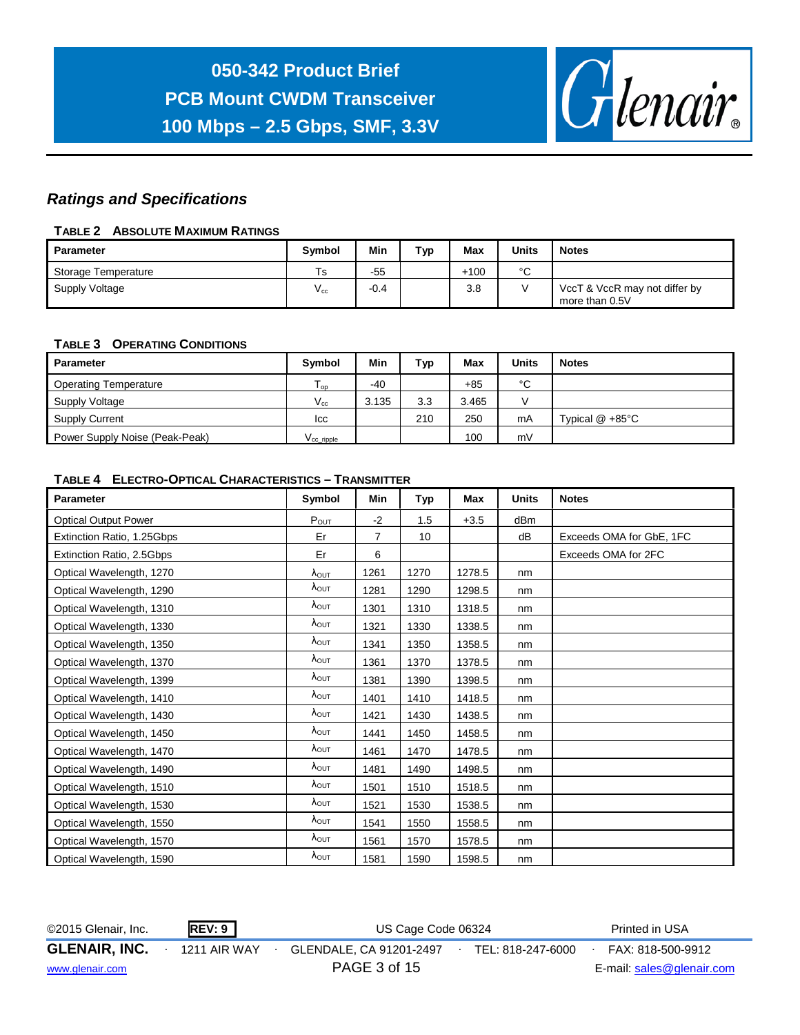

#### *Ratings and Specifications*

#### **TABLE 2 ABSOLUTE MAXIMUM RATINGS**

| Parameter           | <b>Symbol</b>              | Min    | тур | Max    | <b>Units</b> | <b>Notes</b>                                    |
|---------------------|----------------------------|--------|-----|--------|--------------|-------------------------------------------------|
| Storage Temperature | Ts                         | $-55$  |     | $+100$ | $\sim$<br>ັ  |                                                 |
| Supply Voltage      | $\mathsf{v}_{\mathsf{cc}}$ | $-0.4$ |     | 3.8    |              | VccT & VccR may not differ by<br>more than 0.5V |

#### **TABLE 3 OPERATING CONDITIONS**

| <b>Parameter</b>               | Symbol                             | Min   | Typ | Max   | <b>Units</b> | <b>Notes</b>             |
|--------------------------------|------------------------------------|-------|-----|-------|--------------|--------------------------|
| <b>Operating Temperature</b>   | $\mathsf{I}$ op                    | $-40$ |     | +85   | °C           |                          |
| Supply Voltage                 | $V_{\rm cc}$                       | 3.135 | 3.3 | 3.465 |              |                          |
| <b>Supply Current</b>          | lcc.                               |       | 210 | 250   | mA           | Typical $@ + 85^\circ C$ |
| Power Supply Noise (Peak-Peak) | $\mathsf{V}_{\mathsf{CC\_ripple}}$ |       |     | 100   | mV           |                          |

#### **TABLE 4 ELECTRO-OPTICAL CHARACTERISTICS – TRANSMITTER**

| <b>Parameter</b>            | Symbol                 | Min            | Тур  | Max    | <b>Units</b>    | <b>Notes</b>             |
|-----------------------------|------------------------|----------------|------|--------|-----------------|--------------------------|
| <b>Optical Output Power</b> | $P_{OUT}$              | $-2$           | 1.5  | $+3.5$ | dB <sub>m</sub> |                          |
| Extinction Ratio, 1.25Gbps  | Er                     | $\overline{7}$ | 10   |        | dB              | Exceeds OMA for GbE, 1FC |
| Extinction Ratio, 2.5Gbps   | Er                     | 6              |      |        |                 | Exceeds OMA for 2FC      |
| Optical Wavelength, 1270    | $\lambda_{\text{OUT}}$ | 1261           | 1270 | 1278.5 | nm              |                          |
| Optical Wavelength, 1290    | $\lambda_{\text{OUT}}$ | 1281           | 1290 | 1298.5 | nm              |                          |
| Optical Wavelength, 1310    | $\lambda_{\text{OUT}}$ | 1301           | 1310 | 1318.5 | nm              |                          |
| Optical Wavelength, 1330    | $\lambda_{\text{OUT}}$ | 1321           | 1330 | 1338.5 | nm              |                          |
| Optical Wavelength, 1350    | $\lambda_{\text{OUT}}$ | 1341           | 1350 | 1358.5 | nm              |                          |
| Optical Wavelength, 1370    | $\lambda_{\text{OUT}}$ | 1361           | 1370 | 1378.5 | nm              |                          |
| Optical Wavelength, 1399    | $\lambda_{\text{OUT}}$ | 1381           | 1390 | 1398.5 | nm              |                          |
| Optical Wavelength, 1410    | $\lambda_{\text{OUT}}$ | 1401           | 1410 | 1418.5 | nm              |                          |
| Optical Wavelength, 1430    | $\lambda_{\text{OUT}}$ | 1421           | 1430 | 1438.5 | nm              |                          |
| Optical Wavelength, 1450    | $\lambda_{\text{OUT}}$ | 1441           | 1450 | 1458.5 | nm              |                          |
| Optical Wavelength, 1470    | $\lambda_{\text{OUT}}$ | 1461           | 1470 | 1478.5 | nm              |                          |
| Optical Wavelength, 1490    | $\lambda_{\text{OUT}}$ | 1481           | 1490 | 1498.5 | nm              |                          |
| Optical Wavelength, 1510    | $\lambda_{\text{OUT}}$ | 1501           | 1510 | 1518.5 | nm              |                          |
| Optical Wavelength, 1530    | $\lambda_{\text{OUT}}$ | 1521           | 1530 | 1538.5 | nm              |                          |
| Optical Wavelength, 1550    | $\lambda_{\text{OUT}}$ | 1541           | 1550 | 1558.5 | nm              |                          |
| Optical Wavelength, 1570    | $\lambda_{\text{OUT}}$ | 1561           | 1570 | 1578.5 | nm              |                          |
| Optical Wavelength, 1590    | $\lambda_{\text{OUT}}$ | 1581           | 1590 | 1598.5 | nm              |                          |

| ©2015 Glenair, Inc.  | REV: 9       | US Cage Code 06324                           | Printed in USA            |
|----------------------|--------------|----------------------------------------------|---------------------------|
| <b>GLENAIR, INC.</b> | 1211 AIR WAY | GLENDALE, CA 91201-2497<br>TEL: 818-247-6000 | FAX: 818-500-9912         |
| www.glenair.com      |              | PAGE 3 of 15                                 | E-mail: sales@glenair.com |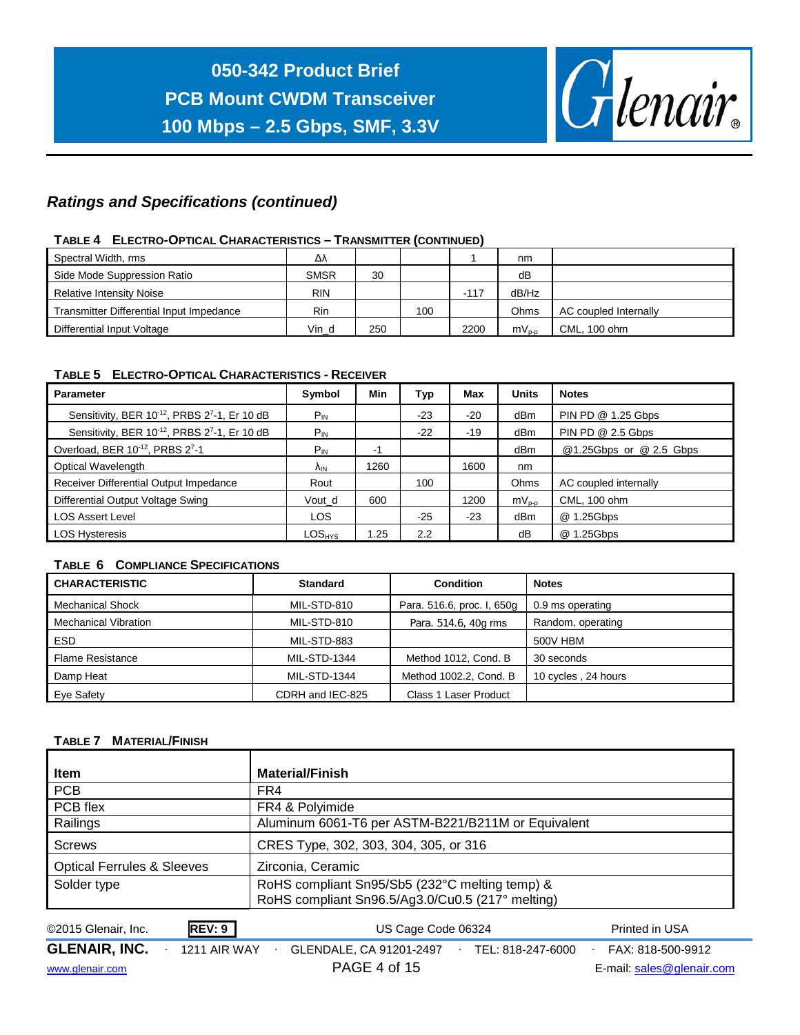

### *Ratings and Specifications (continued)*

#### **TABLE 4 ELECTRO-OPTICAL CHARACTERISTICS – TRANSMITTER (CONTINUED)**

| Spectral Width, rms                      | Δλ          |     |     |        | nm         |                       |
|------------------------------------------|-------------|-----|-----|--------|------------|-----------------------|
| Side Mode Suppression Ratio              | <b>SMSR</b> | 30  |     |        | dB         |                       |
| <b>Relative Intensity Noise</b>          | <b>RIN</b>  |     |     | $-117$ | dB/Hz      |                       |
| Transmitter Differential Input Impedance | <b>Rin</b>  |     | 100 |        | Ohms       | AC coupled Internally |
| Differential Input Voltage               | Vin d       | 250 |     | 2200   | $mV_{p-p}$ | CML, 100 ohm          |

#### **TABLE 5 ELECTRO-OPTICAL CHARACTERISTICS - RECEIVER**

| <b>Parameter</b>                            | Symbol                        | Min  | Тур   | Max   | <b>Units</b>    | <b>Notes</b>            |
|---------------------------------------------|-------------------------------|------|-------|-------|-----------------|-------------------------|
| Sensitivity, BER 10-12, PRBS 27-1, Er 10 dB | $P_{IN}$                      |      | $-23$ | $-20$ | dBm             | PIN PD @ 1.25 Gbps      |
| Sensitivity, BER 10-12, PRBS 27-1, Er 10 dB | $P_{IN}$                      |      | $-22$ | $-19$ | dBm             | PIN PD @ 2.5 Gbps       |
| Overload, BER 10-12, PRBS 27-1              | $P_{IN}$                      | -1   |       |       | dBm             | @1.25Gbps or @ 2.5 Gbps |
| <b>Optical Wavelength</b>                   | ΛıΝ.                          | 1260 |       | 1600  | nm              |                         |
| Receiver Differential Output Impedance      | Rout                          |      | 100   |       | Ohms            | AC coupled internally   |
| Differential Output Voltage Swing           | Vout_d                        | 600  |       | 1200  | $mV_{p-p}$      | CML, 100 ohm            |
| <b>LOS Assert Level</b>                     | <b>LOS</b>                    |      | $-25$ | $-23$ | dB <sub>m</sub> | @ 1.25Gbps              |
| <b>LOS Hysteresis</b>                       | $\mathsf{LOS}_{\mathsf{HYS}}$ | .25  | 2.2   |       | dB              | @ 1.25Gbps              |

#### **TABLE 6 COMPLIANCE SPECIFICATIONS**

| <b>CHARACTERISTIC</b>       | <b>Standard</b>     | <b>Condition</b>           | <b>Notes</b>        |
|-----------------------------|---------------------|----------------------------|---------------------|
| <b>Mechanical Shock</b>     | MIL-STD-810         | Para. 516.6, proc. I, 650g | 0.9 ms operating    |
| <b>Mechanical Vibration</b> | MIL-STD-810         | Para. 514.6, 40g rms       | Random, operating   |
| ESD.                        | MIL-STD-883         |                            | 500V HBM            |
| <b>Flame Resistance</b>     | <b>MIL-STD-1344</b> | Method 1012, Cond. B       | 30 seconds          |
| Damp Heat                   | <b>MIL-STD-1344</b> | Method 1002.2, Cond. B     | 10 cycles, 24 hours |
| Eye Safety                  | CDRH and IEC-825    | Class 1 Laser Product      |                     |

#### **TABLE 7 MATERIAL/FINISH**

| <b>Material/Finish</b>                                                                             |
|----------------------------------------------------------------------------------------------------|
| FR4                                                                                                |
| FR4 & Polyimide                                                                                    |
| Aluminum 6061-T6 per ASTM-B221/B211M or Equivalent                                                 |
| CRES Type, 302, 303, 304, 305, or 316                                                              |
| Zirconia, Ceramic                                                                                  |
| RoHS compliant Sn95/Sb5 (232°C melting temp) &<br>RoHS compliant Sn96.5/Ag3.0/Cu0.5 (217° melting) |
|                                                                                                    |

| ©2015 Glenair, Inc.  | REV: 9       | US Cage Code 06324      |                   | Printed in USA            |  |
|----------------------|--------------|-------------------------|-------------------|---------------------------|--|
| <b>GLENAIR, INC.</b> | 1211 AIR WAY | GLENDALE, CA 91201-2497 | TEL: 818-247-6000 | FAX: 818-500-9912         |  |
| www.glenair.com      |              | PAGE 4 of 15            |                   | E-mail: sales@glenair.com |  |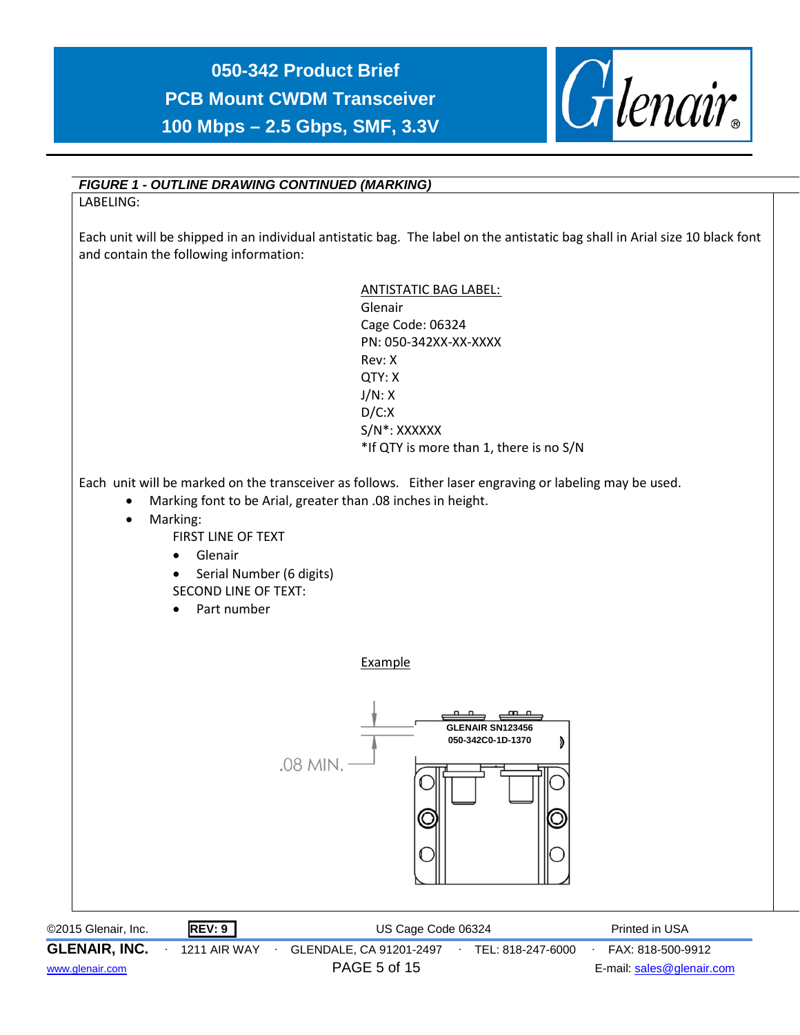

#### *FIGURE 1 - OUTLINE DRAWING CONTINUED (MARKING)*

LABELING:

Each unit will be shipped in an individual antistatic bag. The label on the antistatic bag shall in Arial size 10 black font and contain the following information:



| ©2015 Glenair, Inc.  |  | REV: 9              | US Cage Code 06324      |                   | Printed in USA            |
|----------------------|--|---------------------|-------------------------|-------------------|---------------------------|
| <b>GLENAIR, INC.</b> |  | <b>1211 AIR WAY</b> | GLENDALE, CA 91201-2497 | TEL: 818-247-6000 | FAX: 818-500-9912         |
| www.glenair.com      |  |                     | PAGE 5 of 15            |                   | E-mail: sales@glenair.com |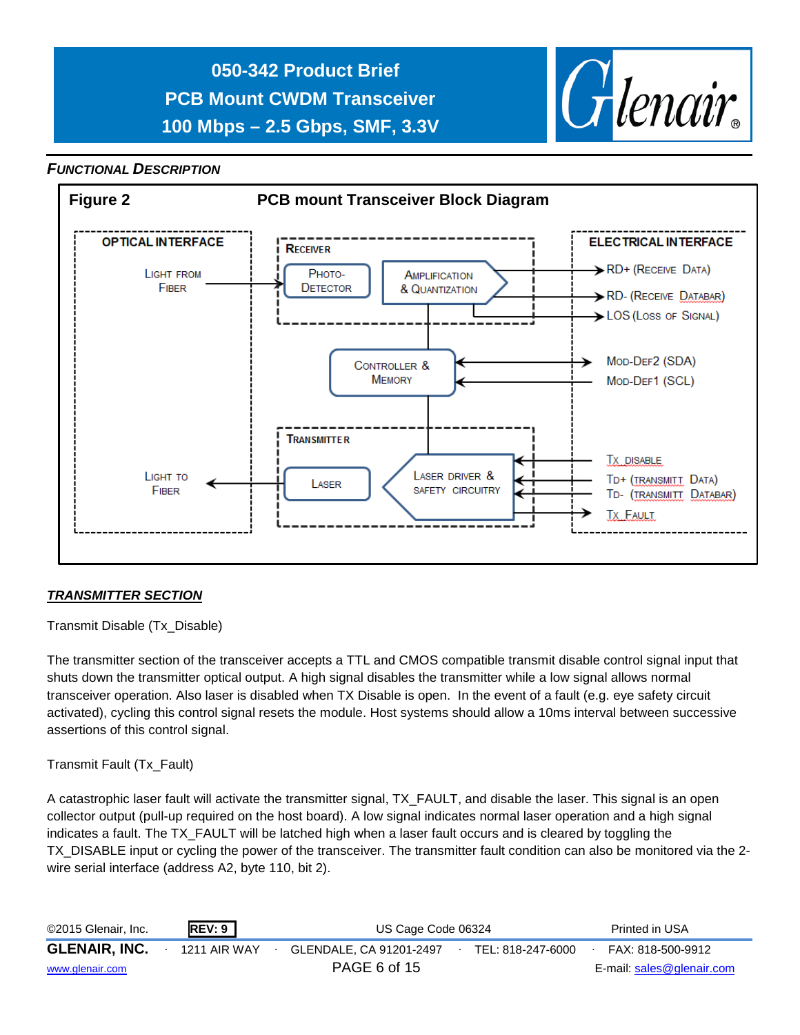

#### *FUNCTIONAL DESCRIPTION*



#### *TRANSMITTER SECTION*

Transmit Disable (Tx\_Disable)

The transmitter section of the transceiver accepts a TTL and CMOS compatible transmit disable control signal input that shuts down the transmitter optical output. A high signal disables the transmitter while a low signal allows normal transceiver operation. Also laser is disabled when TX Disable is open. In the event of a fault (e.g. eye safety circuit activated), cycling this control signal resets the module. Host systems should allow a 10ms interval between successive assertions of this control signal.

#### Transmit Fault (Tx\_Fault)

A catastrophic laser fault will activate the transmitter signal, TX\_FAULT, and disable the laser. This signal is an open collector output (pull-up required on the host board). A low signal indicates normal laser operation and a high signal indicates a fault. The TX\_FAULT will be latched high when a laser fault occurs and is cleared by toggling the TX DISABLE input or cycling the power of the transceiver. The transmitter fault condition can also be monitored via the 2wire serial interface (address A2, byte 110, bit 2).

| ©2015 Glenair, Inc.  | <b>REV: 9</b> | US Cage Code 06324      | Printed in USA    |                           |
|----------------------|---------------|-------------------------|-------------------|---------------------------|
| <b>GLENAIR, INC.</b> | 1211 AIR WAY  | GLENDALE, CA 91201-2497 | TEL: 818-247-6000 | FAX: 818-500-9912         |
| www.glenair.com      |               | PAGE 6 of 15            |                   | E-mail: sales@glenair.com |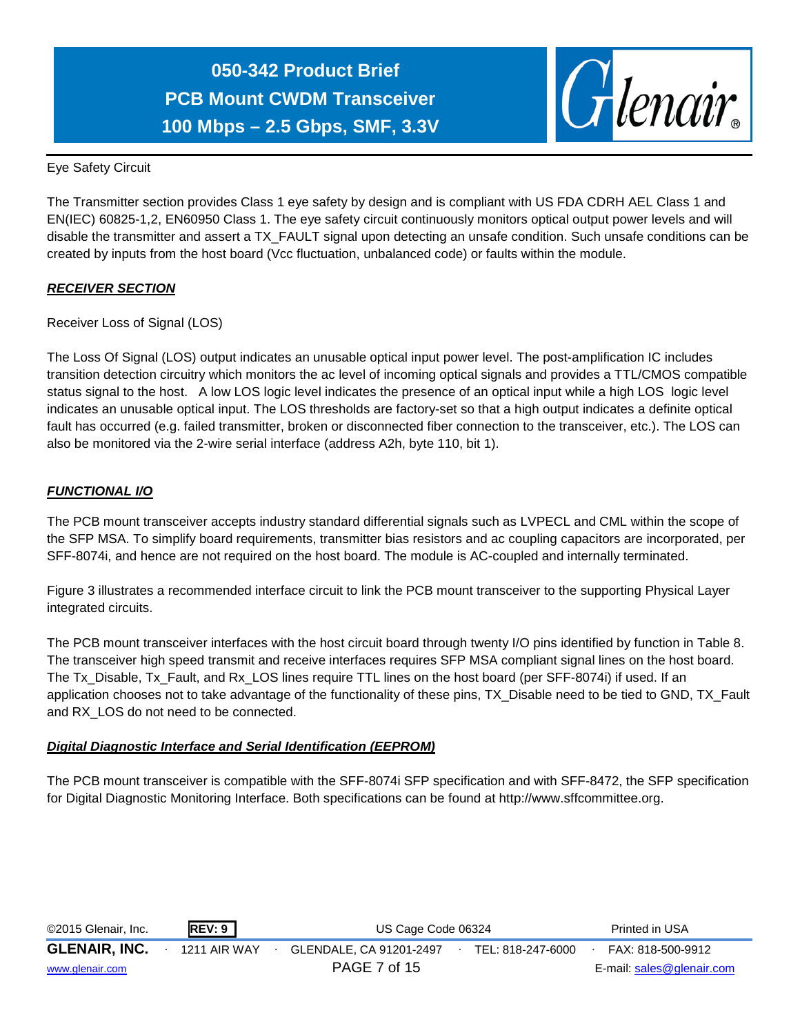

Eye Safety Circuit

The Transmitter section provides Class 1 eye safety by design and is compliant with US FDA CDRH AEL Class 1 and EN(IEC) 60825-1,2, EN60950 Class 1. The eye safety circuit continuously monitors optical output power levels and will disable the transmitter and assert a TX\_FAULT signal upon detecting an unsafe condition. Such unsafe conditions can be created by inputs from the host board (Vcc fluctuation, unbalanced code) or faults within the module.

#### *RECEIVER SECTION*

Receiver Loss of Signal (LOS)

The Loss Of Signal (LOS) output indicates an unusable optical input power level. The post-amplification IC includes transition detection circuitry which monitors the ac level of incoming optical signals and provides a TTL/CMOS compatible status signal to the host. A low LOS logic level indicates the presence of an optical input while a high LOS logic level indicates an unusable optical input. The LOS thresholds are factory-set so that a high output indicates a definite optical fault has occurred (e.g. failed transmitter, broken or disconnected fiber connection to the transceiver, etc.). The LOS can also be monitored via the 2-wire serial interface (address A2h, byte 110, bit 1).

#### *FUNCTIONAL I/O*

The PCB mount transceiver accepts industry standard differential signals such as LVPECL and CML within the scope of the SFP MSA. To simplify board requirements, transmitter bias resistors and ac coupling capacitors are incorporated, per SFF-8074i, and hence are not required on the host board. The module is AC-coupled and internally terminated.

Figure 3 illustrates a recommended interface circuit to link the PCB mount transceiver to the supporting Physical Layer integrated circuits.

The PCB mount transceiver interfaces with the host circuit board through twenty I/O pins identified by function in Table 8. The transceiver high speed transmit and receive interfaces requires SFP MSA compliant signal lines on the host board. The Tx\_Disable, Tx\_Fault, and Rx\_LOS lines require TTL lines on the host board (per SFF-8074i) if used. If an application chooses not to take advantage of the functionality of these pins, TX\_Disable need to be tied to GND, TX\_Fault and RX\_LOS do not need to be connected.

#### *Digital Diagnostic Interface and Serial Identification (EEPROM)*

The PCB mount transceiver is compatible with the SFF-8074i SFP specification and with SFF-8472, the SFP specification for Digital Diagnostic Monitoring Interface. Both specifications can be found at http://www.sffcommittee.org.

| ©2015 Glenair, Inc.  | <b>REV: 9</b> | US Cage Code 06324      | Printed in USA    |                           |
|----------------------|---------------|-------------------------|-------------------|---------------------------|
| <b>GLENAIR, INC.</b> | 1211 AIR WAY  | GLENDALE. CA 91201-2497 | TEL: 818-247-6000 | FAX: 818-500-9912         |
| www.glenair.com      |               | PAGE 7 of 15            |                   | E-mail: sales@glenair.com |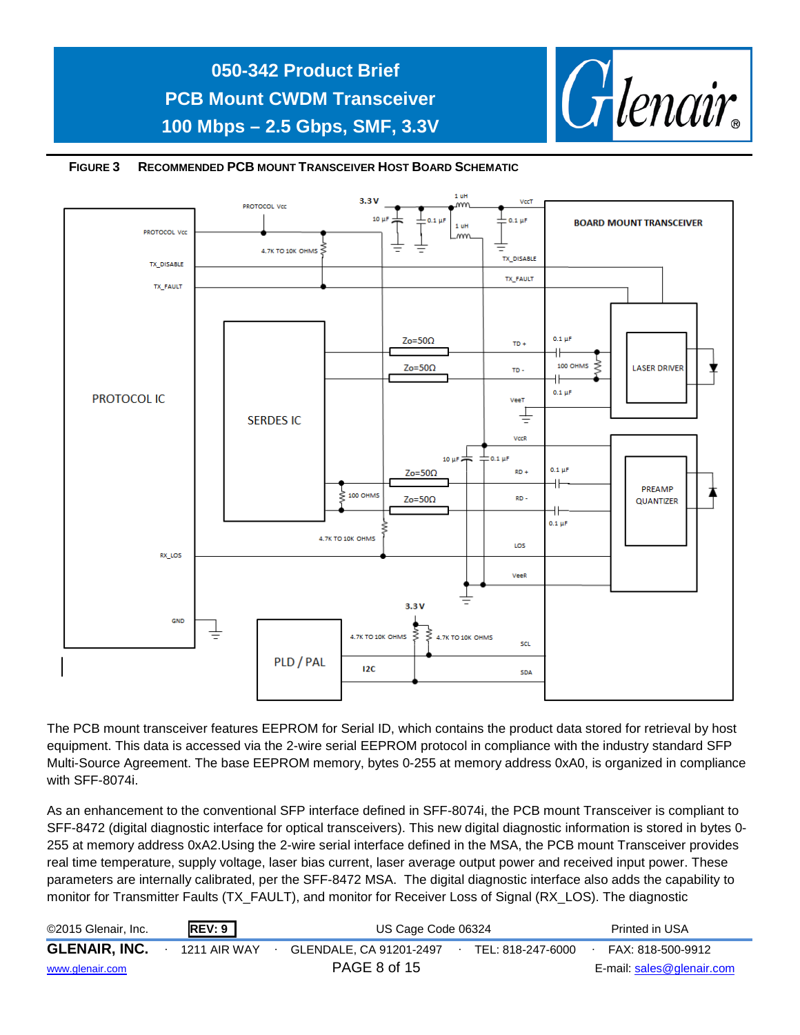





The PCB mount transceiver features EEPROM for Serial ID, which contains the product data stored for retrieval by host equipment. This data is accessed via the 2-wire serial EEPROM protocol in compliance with the industry standard SFP Multi-Source Agreement. The base EEPROM memory, bytes 0-255 at memory address 0xA0, is organized in compliance with SFF-8074i.

As an enhancement to the conventional SFP interface defined in SFF-8074i, the PCB mount Transceiver is compliant to SFF-8472 (digital diagnostic interface for optical transceivers). This new digital diagnostic information is stored in bytes 0- 255 at memory address 0xA2.Using the 2-wire serial interface defined in the MSA, the PCB mount Transceiver provides real time temperature, supply voltage, laser bias current, laser average output power and received input power. These parameters are internally calibrated, per the SFF-8472 MSA. The digital diagnostic interface also adds the capability to monitor for Transmitter Faults (TX\_FAULT), and monitor for Receiver Loss of Signal (RX\_LOS). The diagnostic

| ©2015 Glenair, Inc.  | REV: 9       | US Cage Code 06324      | Printed in USA    |                           |
|----------------------|--------------|-------------------------|-------------------|---------------------------|
| <b>GLENAIR, INC.</b> | 1211 AIR WAY | GLENDALE. CA 91201-2497 | TEL: 818-247-6000 | FAX: 818-500-9912         |
| www.glenair.com      |              | PAGE 8 of 15            |                   | E-mail: sales@glenair.com |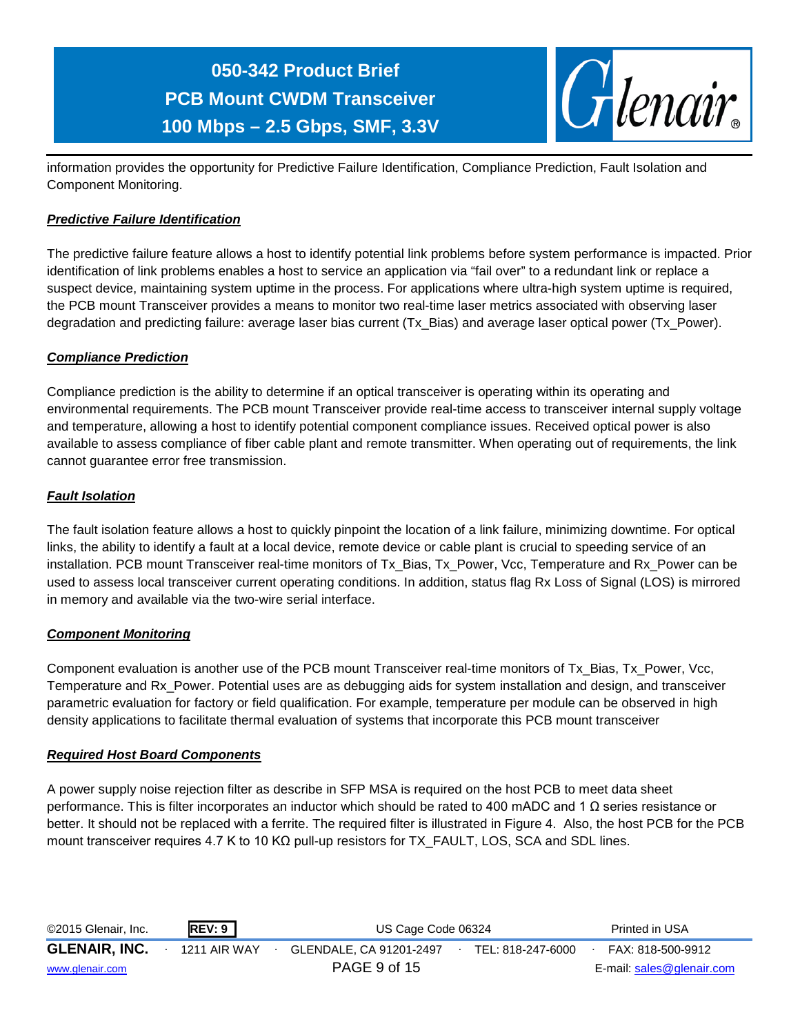

information provides the opportunity for Predictive Failure Identification, Compliance Prediction, Fault Isolation and Component Monitoring.

#### *Predictive Failure Identification*

The predictive failure feature allows a host to identify potential link problems before system performance is impacted. Prior identification of link problems enables a host to service an application via "fail over" to a redundant link or replace a suspect device, maintaining system uptime in the process. For applications where ultra-high system uptime is required, the PCB mount Transceiver provides a means to monitor two real-time laser metrics associated with observing laser degradation and predicting failure: average laser bias current (Tx\_Bias) and average laser optical power (Tx\_Power).

#### *Compliance Prediction*

Compliance prediction is the ability to determine if an optical transceiver is operating within its operating and environmental requirements. The PCB mount Transceiver provide real-time access to transceiver internal supply voltage and temperature, allowing a host to identify potential component compliance issues. Received optical power is also available to assess compliance of fiber cable plant and remote transmitter. When operating out of requirements, the link cannot guarantee error free transmission.

#### *Fault Isolation*

The fault isolation feature allows a host to quickly pinpoint the location of a link failure, minimizing downtime. For optical links, the ability to identify a fault at a local device, remote device or cable plant is crucial to speeding service of an installation. PCB mount Transceiver real-time monitors of Tx\_Bias, Tx\_Power, Vcc, Temperature and Rx\_Power can be used to assess local transceiver current operating conditions. In addition, status flag Rx Loss of Signal (LOS) is mirrored in memory and available via the two-wire serial interface.

#### *Component Monitoring*

Component evaluation is another use of the PCB mount Transceiver real-time monitors of Tx\_Bias, Tx\_Power, Vcc, Temperature and Rx\_Power. Potential uses are as debugging aids for system installation and design, and transceiver parametric evaluation for factory or field qualification. For example, temperature per module can be observed in high density applications to facilitate thermal evaluation of systems that incorporate this PCB mount transceiver

#### *Required Host Board Components*

A power supply noise rejection filter as describe in SFP MSA is required on the host PCB to meet data sheet performance. This is filter incorporates an inductor which should be rated to 400 mADC and 1 Ω series resistance or better. It should not be replaced with a ferrite. The required filter is illustrated in Figure 4. Also, the host PCB for the PCB mount transceiver requires 4.7 K to 10 KΩ pull-up resistors for TX\_FAULT, LOS, SCA and SDL lines.

| ©2015 Glenair, Inc.  | REV: 9       | US Cage Code 06324      | Printed in USA    |                           |
|----------------------|--------------|-------------------------|-------------------|---------------------------|
| <b>GLENAIR, INC.</b> | 1211 AIR WAY | GLENDALE, CA 91201-2497 | TEL: 818-247-6000 | FAX: 818-500-9912         |
| www.glenair.com      |              | PAGE 9 of 15            |                   | E-mail: sales@glenair.com |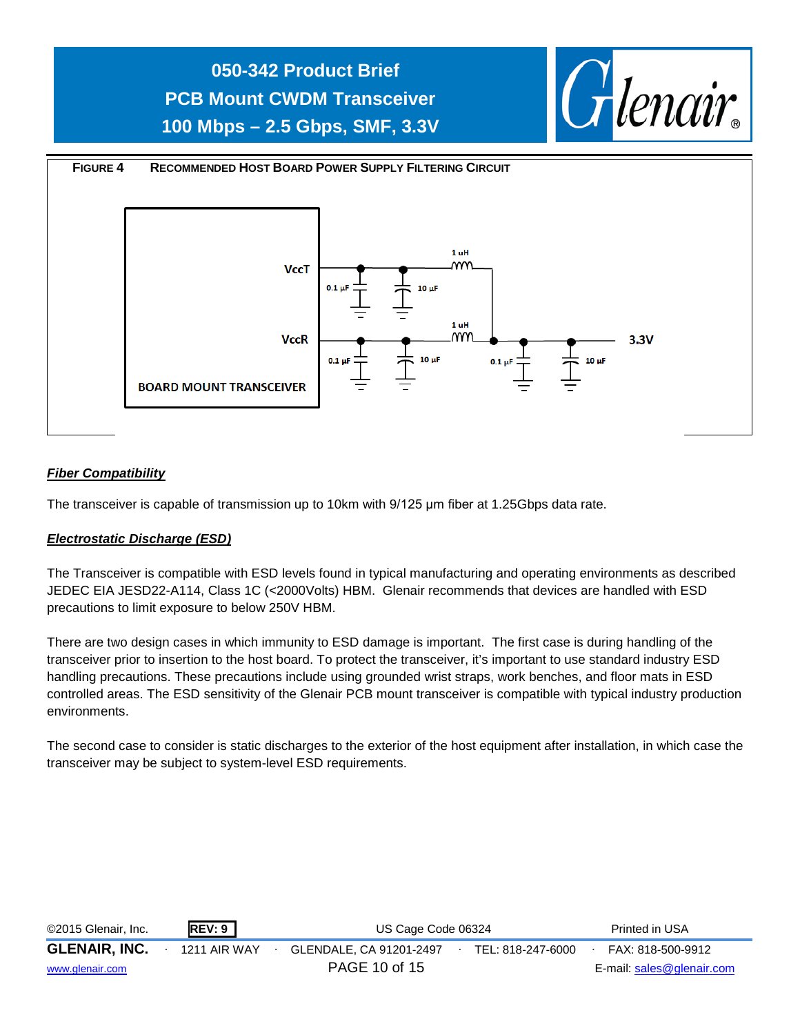

#### *Fiber Compatibility*

The transceiver is capable of transmission up to 10km with 9/125 μm fiber at 1.25Gbps data rate.

#### *Electrostatic Discharge (ESD)*

The Transceiver is compatible with ESD levels found in typical manufacturing and operating environments as described JEDEC EIA JESD22-A114, Class 1C (<2000Volts) HBM. Glenair recommends that devices are handled with ESD precautions to limit exposure to below 250V HBM.

There are two design cases in which immunity to ESD damage is important. The first case is during handling of the transceiver prior to insertion to the host board. To protect the transceiver, it's important to use standard industry ESD handling precautions. These precautions include using grounded wrist straps, work benches, and floor mats in ESD controlled areas. The ESD sensitivity of the Glenair PCB mount transceiver is compatible with typical industry production environments.

The second case to consider is static discharges to the exterior of the host equipment after installation, in which case the transceiver may be subject to system-level ESD requirements.

| ©2015 Glenair, Inc.  | REV: 9       | US Cage Code 06324      | Printed in USA    |                           |
|----------------------|--------------|-------------------------|-------------------|---------------------------|
| <b>GLENAIR, INC.</b> | 1211 AIR WAY | GLENDALE. CA 91201-2497 | TEL: 818-247-6000 | FAX: 818-500-9912         |
| www.glenair.com      |              | PAGE 10 of 15           |                   | E-mail: sales@glenair.com |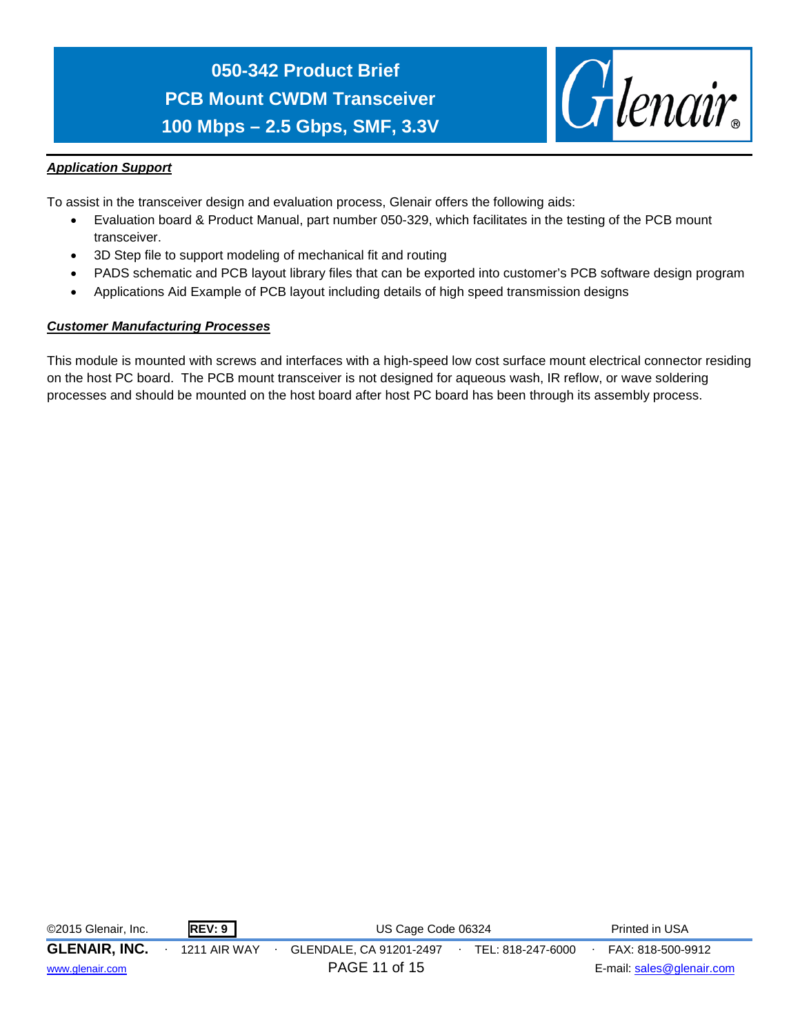

#### *Application Support*

To assist in the transceiver design and evaluation process, Glenair offers the following aids:

- Evaluation board & Product Manual, part number 050-329, which facilitates in the testing of the PCB mount transceiver.
- 3D Step file to support modeling of mechanical fit and routing
- PADS schematic and PCB layout library files that can be exported into customer's PCB software design program
- Applications Aid Example of PCB layout including details of high speed transmission designs

#### *Customer Manufacturing Processes*

This module is mounted with screws and interfaces with a high-speed low cost surface mount electrical connector residing on the host PC board. The PCB mount transceiver is not designed for aqueous wash, IR reflow, or wave soldering processes and should be mounted on the host board after host PC board has been through its assembly process.

| ©2015 Glenair, Inc.  | REV: 9       | US Cage Code 06324      | Printed in USA    |                           |
|----------------------|--------------|-------------------------|-------------------|---------------------------|
| <b>GLENAIR, INC.</b> | 1211 AIR WAY | GLENDALE, CA 91201-2497 | TEL: 818-247-6000 | FAX: 818-500-9912         |
| www.glenair.com      |              | PAGE 11 of 15           |                   | E-mail: sales@glenair.com |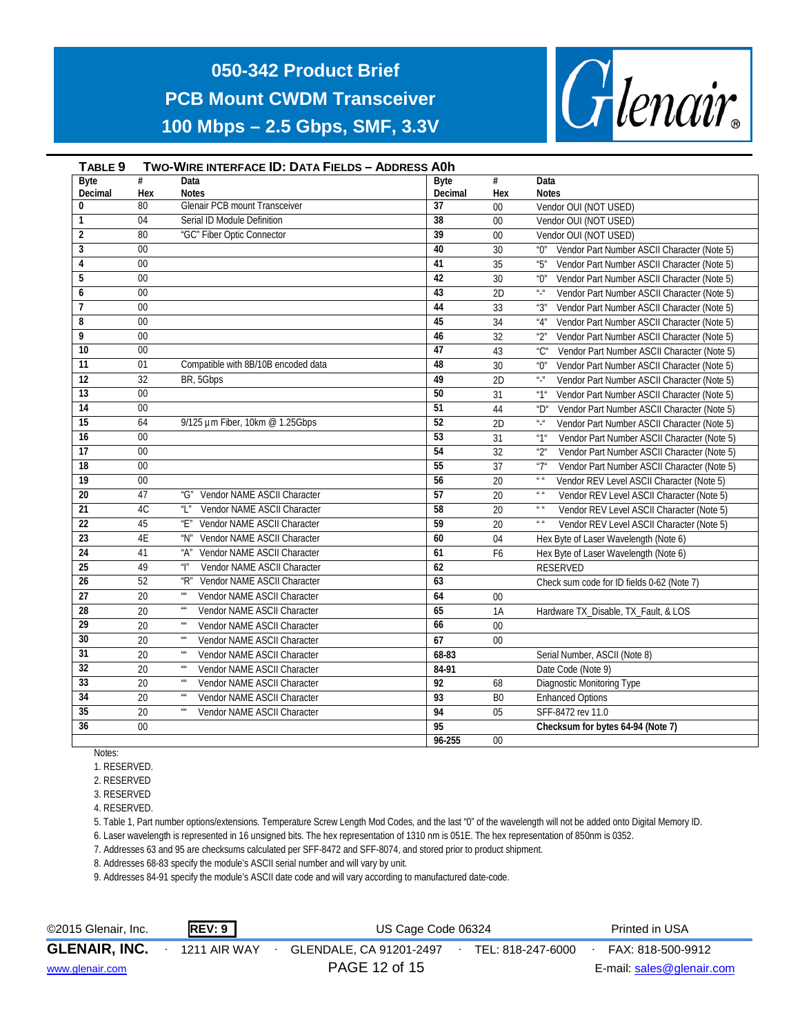

#### **TABLE 9 TWO-WIRE INTERFACE ID: DATA FIELDS – ADDRESS A0h Byte Decimal # Hex Data Notes Byte Decimal # Hex Data Notes 0** 80 Glenair PCB mount Transceiver **37** 00 Vendor OUI (NOT USED) **1** 04 Serial ID Module Definition **38** 00 Vendor OUI (NOT USED) **2** 80 "GC" Fiber Optic Connector **39** 00 Vendor OUI (NOT USED) **3** 00 **40** 30  $\degree$  Vendor Part Number ASCII Character (Note 5) **41 41** 35 **41 35 41 35 41 41 41 5 41 5 41 41 5 41 5 41 5 41 41 5 41 5 41 5 41 5 41 5 41 41 5 41 5 41 5 41 41 5 41 5 41 41 5 41 5 5** 00 **42** 30 "0" Vendor Part Number ASCII Character (Note 5) **6** 00 00 **43** 2D  $\blacksquare$  **43** 2D  $\blacksquare$  **43** 2D  $\blacksquare$  **43** 2D  $\blacksquare$  **43**  $\blacksquare$  **2D**  $\blacksquare$  **43**  $\blacksquare$  **43**  $\blacksquare$  **43**  $\blacksquare$  **43**  $\blacksquare$  **43**  $\blacksquare$  **43**  $\blacksquare$  **43**  $\blacksquare$  **43**  $\blacksquare$  **43**  $\blacksquare$  **43**  $\blacksquare$  **43**  $\bl$ **7** 00 **12** 12 13 14 **44** 33 3 3 3 3 3 3 3 3 44 5 3 44 5 3 44 5 3 45  $\frac{1}{2}$  Character (Note 5) **8** 00 **45** 34 "4" Vendor Part Number ASCII Character (Note 5) **9** 00 **46** 32 "2" Vendor Part Number ASCII Character (Note 5) **10** 00 **47** 43 "C" Vendor Part Number ASCII Character (Note 5) 11 01 Compatible with 8B/10B encoded data **48** 30 "0" Vendor Part Number ASCII Character (Note 5) **12** 32 BR, 5Gbps **49** 2D "-" Vendor Part Number ASCII Character (Note 5) **13** 00 **50** 31 "1" Vendor Part Number ASCII Character (Note 5) **14** 00 **51 14**  $\bullet$  **51 44**  $\bullet$  **15 1 21 CHARACTER CONFIDENT ASCII Character (Note 5) 15** 64 9/125 µm Fiber, 10km @ 1.25Gbps **52** 2D "-" Vendor Part Number ASCII Character (Note 5) **16** 00 **53** 31 "1" Vendor Part Number ASCII Character (Note 5) **17** 00 **54** 32 "2" Vendor Part Number ASCII Character (Note 5) **18** 00 **55** 37 "7" Vendor Part Number ASCII Character (Note 5) **19** 00 **56** 20 " Vendor REV Level ASCII Character (Note 5) 20 47 "G" Vendor NAME ASCII Character **57** 20 " " Vendor REV Level ASCII Character (Note 5) **21** 4C "L" Vendor NAME ASCII Character **58** 20 " " Vendor REV Level ASCII Character (Note 5) **22** 45 "E" Vendor NAME ASCII Character **59** 20 " " Vendor REV Level ASCII Character (Note 5) 23 4E "N" Vendor NAME ASCII Character **60** 60 04 Hex Byte of Laser Wavelength (Note 6) **24** 41 "A" Vendor NAME ASCII Character **61** F6 Hex Byte of Laser Wavelength (Note 6) **25** 49 "I" Vendor NAME ASCII Character **62** RESERVED **26** 52 "R" Vendor NAME ASCII Character **63** Check sum code for ID fields 0-62 (Note 7) **27** 20 "" Vendor NAME ASCII Character **64** 00 **28** 20 "" Vendor NAME ASCII Character **65** 1A Hardware TX\_Disable, TX\_Fault, & LOS **29** 20 "" Vendor NAME ASCII Character **66** 00 **30** 20 "" Vendor NAME ASCII Character **67** 00<br> **31** 20 "" Vendor NAME ASCII Character 68-83 **31** 20 " Vendor NAME ASCII Character **68-83** Serial Number, ASCII (Note 8)<br> **84-91** Date Code (Note 9) **32** 20 "" Vendor NAME ASCII Character **84-91** Date Code (Note 9) **33** 20 "" Vendor NAME ASCII Character **92** 68 Diagnostic Monitoring Type **34** 20 "" Vendor NAME ASCII Character **93** B0 Enhanced Options **35** 20 "" Vendor NAME ASCII Character **94** 05 SFF-8472 rev 11.0 **36** 00 **95 Checksum for bytes 64-94 (Note 7) 96-255** 00

Notes:

1. RESERVED.

2. RESERVED

3. RESERVED

4. RESERVED.

5. Table 1, Part number options/extensions. Temperature Screw Length Mod Codes, and the last "0" of the wavelength will not be added onto Digital Memory ID.

6. Laser wavelength is represented in 16 unsigned bits. The hex representation of 1310 nm is 051E. The hex representation of 850nm is 0352.

7. Addresses 63 and 95 are checksums calculated per SFF-8472 and SFF-8074, and stored prior to product shipment.

8. Addresses 68-83 specify the module's ASCII serial number and will vary by unit.

9. Addresses 84-91 specify the module's ASCII date code and will vary according to manufactured date-code.

| ©2015 Glenair, Inc.  | <b>REV: 9</b> | US Cage Code 06324      | Printed in USA    |                           |  |
|----------------------|---------------|-------------------------|-------------------|---------------------------|--|
| <b>GLENAIR, INC.</b> | 1211 AIR WAY  | GLENDALE, CA 91201-2497 | TEL: 818-247-6000 | FAX: 818-500-9912         |  |
| www.glenair.com      |               | PAGE 12 of 15           |                   | E-mail: sales@glenair.com |  |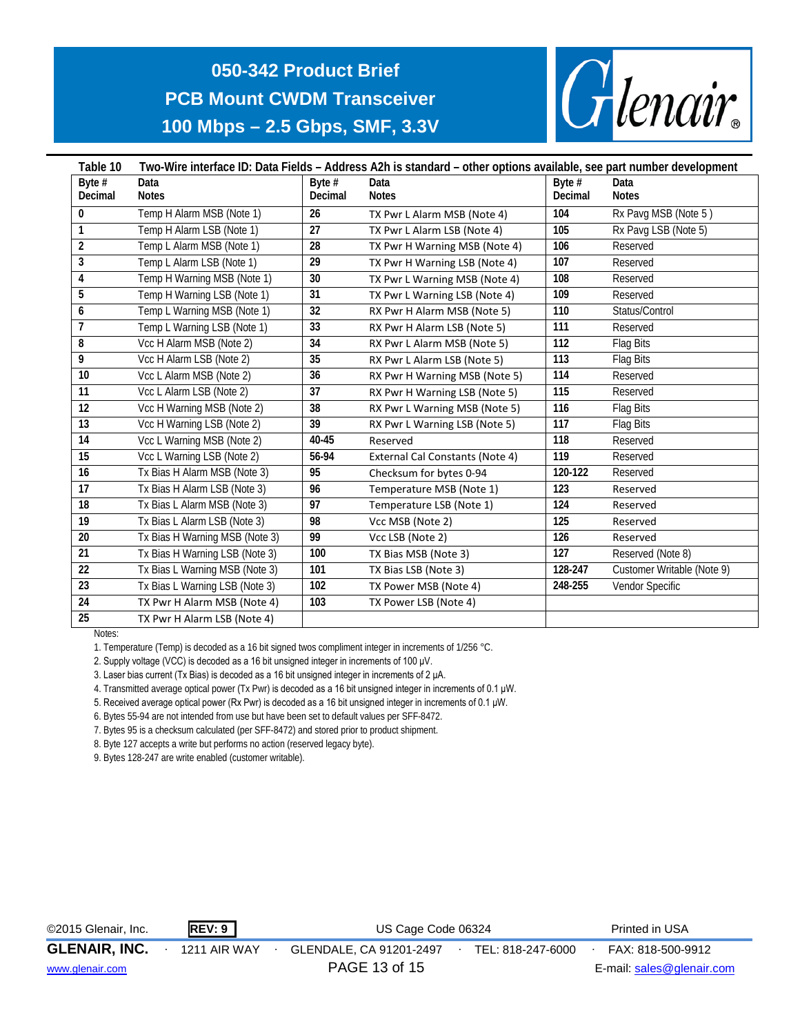

| Table 10        | Two-Wire interface ID: Data Fields - Address A2h is standard - other options available, see part number development |                 |                                        |          |                            |  |  |  |  |  |  |
|-----------------|---------------------------------------------------------------------------------------------------------------------|-----------------|----------------------------------------|----------|----------------------------|--|--|--|--|--|--|
| Byte $#$        | Data                                                                                                                | Byte $#$        | Data                                   | Byte $#$ | Data                       |  |  |  |  |  |  |
| Decimal         | <b>Notes</b>                                                                                                        | Decimal         | <b>Notes</b>                           | Decimal  | <b>Notes</b>               |  |  |  |  |  |  |
| 0               | Temp H Alarm MSB (Note 1)                                                                                           | 26              | TX Pwr L Alarm MSB (Note 4)            | 104      | Rx Pavg MSB (Note 5)       |  |  |  |  |  |  |
| $\mathbf{1}$    | Temp H Alarm LSB (Note 1)                                                                                           | 27              | TX Pwr L Alarm LSB (Note 4)            | 105      | Rx Pavg LSB (Note 5)       |  |  |  |  |  |  |
| $\overline{2}$  | Temp L Alarm MSB (Note 1)                                                                                           | 28              | TX Pwr H Warning MSB (Note 4)          | 106      | Reserved                   |  |  |  |  |  |  |
| 3               | Temp L Alarm LSB (Note 1)                                                                                           | 29              | TX Pwr H Warning LSB (Note 4)          | 107      | Reserved                   |  |  |  |  |  |  |
| 4               | Temp H Warning MSB (Note 1)                                                                                         | 30              | TX Pwr L Warning MSB (Note 4)          | 108      | Reserved                   |  |  |  |  |  |  |
| 5               | Temp H Warning LSB (Note 1)                                                                                         | 31              | TX Pwr L Warning LSB (Note 4)          | 109      | Reserved                   |  |  |  |  |  |  |
| 6               | Temp L Warning MSB (Note 1)                                                                                         | 32              | RX Pwr H Alarm MSB (Note 5)            | 110      | Status/Control             |  |  |  |  |  |  |
| $\overline{1}$  | Temp L Warning LSB (Note 1)                                                                                         | 33              | RX Pwr H Alarm LSB (Note 5)            | 111      | Reserved                   |  |  |  |  |  |  |
| 8               | Vcc H Alarm MSB (Note 2)                                                                                            | $\overline{34}$ | RX Pwr L Alarm MSB (Note 5)            | 112      | Flag Bits                  |  |  |  |  |  |  |
| 9               | Vcc H Alarm LSB (Note 2)                                                                                            | 35              | RX Pwr L Alarm LSB (Note 5)            | 113      | Flag Bits                  |  |  |  |  |  |  |
| 10              | Vcc L Alarm MSB (Note 2)                                                                                            | 36              | RX Pwr H Warning MSB (Note 5)          | 114      | Reserved                   |  |  |  |  |  |  |
| 11              | Vcc L Alarm LSB (Note 2)                                                                                            | 37              | RX Pwr H Warning LSB (Note 5)          | 115      | Reserved                   |  |  |  |  |  |  |
| 12              | Vcc H Warning MSB (Note 2)                                                                                          | 38              | RX Pwr L Warning MSB (Note 5)          | 116      | Flag Bits                  |  |  |  |  |  |  |
| 13              | Vcc H Warning LSB (Note 2)                                                                                          | 39              | RX Pwr L Warning LSB (Note 5)          | 117      | Flag Bits                  |  |  |  |  |  |  |
| $\overline{14}$ | Vcc L Warning MSB (Note 2)                                                                                          | 40-45           | Reserved                               | 118      | Reserved                   |  |  |  |  |  |  |
| 15              | Vcc L Warning LSB (Note 2)                                                                                          | 56-94           | <b>External Cal Constants (Note 4)</b> | 119      | Reserved                   |  |  |  |  |  |  |
| 16              | Tx Bias H Alarm MSB (Note 3)                                                                                        | 95              | Checksum for bytes 0-94                | 120-122  | Reserved                   |  |  |  |  |  |  |
| 17              | Tx Bias H Alarm LSB (Note 3)                                                                                        | 96              | Temperature MSB (Note 1)               | 123      | Reserved                   |  |  |  |  |  |  |
| 18              | Tx Bias L Alarm MSB (Note 3)                                                                                        | 97              | Temperature LSB (Note 1)               | 124      | Reserved                   |  |  |  |  |  |  |
| 19              | Tx Bias L Alarm LSB (Note 3)                                                                                        | 98              | Vcc MSB (Note 2)                       | 125      | Reserved                   |  |  |  |  |  |  |
| 20              | Tx Bias H Warning MSB (Note 3)                                                                                      | 99              | Vcc LSB (Note 2)                       | 126      | Reserved                   |  |  |  |  |  |  |
| $\overline{21}$ | Tx Bias H Warning LSB (Note 3)                                                                                      | 100             | TX Bias MSB (Note 3)                   | 127      | Reserved (Note 8)          |  |  |  |  |  |  |
| 22              | Tx Bias L Warning MSB (Note 3)                                                                                      | 101             | TX Bias LSB (Note 3)                   | 128-247  | Customer Writable (Note 9) |  |  |  |  |  |  |
| 23              | Tx Bias L Warning LSB (Note 3)                                                                                      | 102             | TX Power MSB (Note 4)                  | 248-255  | Vendor Specific            |  |  |  |  |  |  |
| 24              | TX Pwr H Alarm MSB (Note 4)                                                                                         | 103             | TX Power LSB (Note 4)                  |          |                            |  |  |  |  |  |  |
| 25              | TX Pwr H Alarm LSB (Note 4)                                                                                         |                 |                                        |          |                            |  |  |  |  |  |  |

Notes:

1. Temperature (Temp) is decoded as a 16 bit signed twos compliment integer in increments of 1/256 °C.

2. Supply voltage (VCC) is decoded as a 16 bit unsigned integer in increments of 100 μV.

3. Laser bias current (Tx Bias) is decoded as a 16 bit unsigned integer in increments of 2 μA.

4. Transmitted average optical power (Tx Pwr) is decoded as a 16 bit unsigned integer in increments of 0.1 μW.

5. Received average optical power (Rx Pwr) is decoded as a 16 bit unsigned integer in increments of 0.1 μW.

6. Bytes 55-94 are not intended from use but have been set to default values per SFF-8472.

7. Bytes 95 is a checksum calculated (per SFF-8472) and stored prior to product shipment.

8. Byte 127 accepts a write but performs no action (reserved legacy byte).

9. Bytes 128-247 are write enabled (customer writable).

| ©2015 Glenair, Inc.  | <b>REV: 9</b>       | US Cage Code 06324      |                   | Printed in USA            |
|----------------------|---------------------|-------------------------|-------------------|---------------------------|
| <b>GLENAIR, INC.</b> | <b>1211 AIR WAY</b> | GLENDALE, CA 91201-2497 | TEL: 818-247-6000 | FAX: 818-500-9912         |
| www.glenair.com      |                     | PAGE 13 of 15           |                   | E-mail: sales@glenair.com |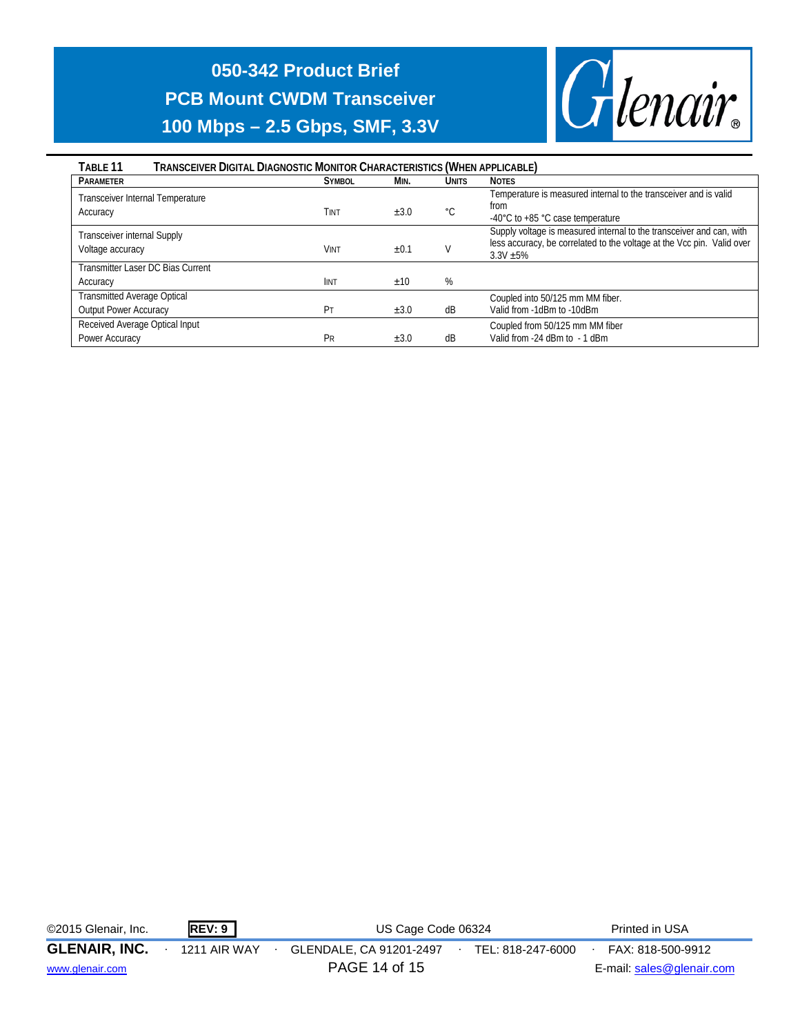

| TRANSCEIVER DIGITAL DIAGNOSTIC MONITOR CHARACTERISTICS (WHEN APPLICABLE)<br>TABLE 11 |               |           |              |                                                                                                                                                               |
|--------------------------------------------------------------------------------------|---------------|-----------|--------------|---------------------------------------------------------------------------------------------------------------------------------------------------------------|
| <b>PARAMETER</b>                                                                     | <b>SYMBOL</b> | MIN.      | <b>UNITS</b> | <b>NOTES</b>                                                                                                                                                  |
| Transceiver Internal Temperature<br>Accuracy                                         | Tint          | $\pm 3.0$ | °C           | Temperature is measured internal to the transceiver and is valid<br>from<br>-40°C to +85 °C case temperature                                                  |
| Transceiver internal Supply<br>Voltage accuracy                                      | VINT          | ±0.1      |              | Supply voltage is measured internal to the transceiver and can, with<br>less accuracy, be correlated to the voltage at the Vcc pin. Valid over<br>$3.3V + 5%$ |
| Transmitter Laser DC Bias Current                                                    |               |           |              |                                                                                                                                                               |
| Accuracy                                                                             | <b>IINT</b>   | ±10       | %            |                                                                                                                                                               |
| <b>Transmitted Average Optical</b>                                                   |               |           |              | Coupled into 50/125 mm MM fiber.                                                                                                                              |
| <b>Output Power Accuracy</b>                                                         | Pт            | $\pm 3.0$ | dB           | Valid from -1dBm to -10dBm                                                                                                                                    |
| Received Average Optical Input                                                       |               |           |              | Coupled from 50/125 mm MM fiber                                                                                                                               |
| Power Accuracy                                                                       | Pr            | ±3.0      | dB           | Valid from -24 dBm to - 1 dBm                                                                                                                                 |

| ©2015 Glenair, Inc.  | REV: 9       | US Cage Code 06324                           | Printed in USA            |
|----------------------|--------------|----------------------------------------------|---------------------------|
| <b>GLENAIR, INC.</b> | 1211 AIR WAY | GLENDALE, CA 91201-2497<br>TEL: 818-247-6000 | FAX: 818-500-9912         |
| www.glenair.com      |              | PAGE 14 of 15                                | E-mail: sales@glenair.com |